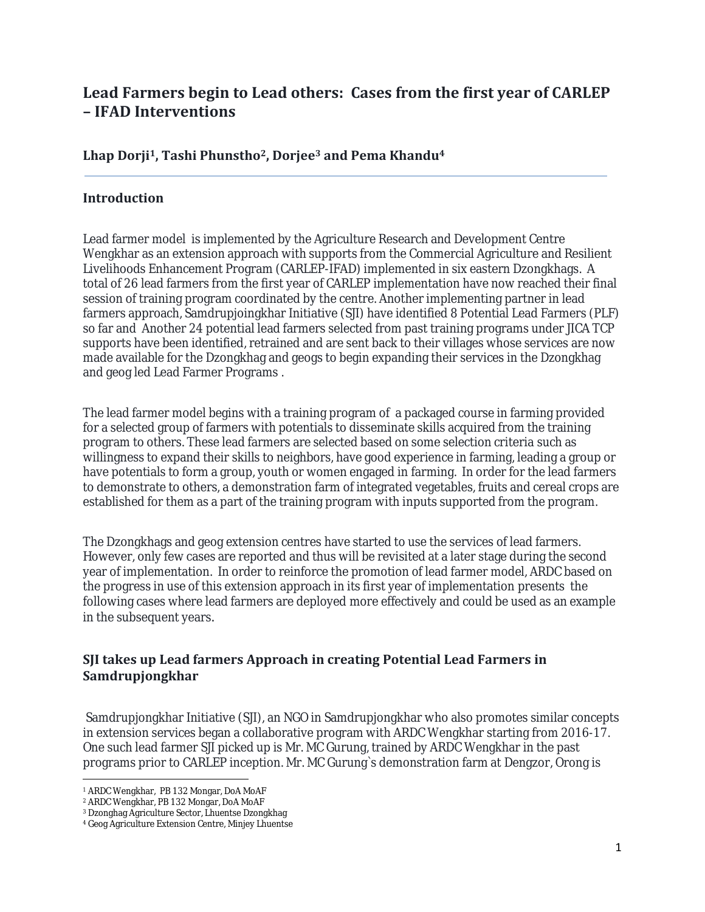# **Lead Farmers begin to Lead others: Cases from the first year of CARLEP – IFAD Interventions**

#### **Lhap Dorji1, Tashi Phunstho2, Dorjee<sup>3</sup> and Pema Khandu<sup>4</sup>**

#### **Introduction**

Lead farmer model is implemented by the Agriculture Research and Development Centre Wengkhar as an extension approach with supports from the Commercial Agriculture and Resilient Livelihoods Enhancement Program (CARLEP-IFAD) implemented in six eastern Dzongkhags. A total of 26 lead farmers from the first year of CARLEP implementation have now reached their final session of training program coordinated by the centre. Another implementing partner in lead farmers approach, Samdrupjoingkhar Initiative (SJI) have identified 8 Potential Lead Farmers (PLF) so far and Another 24 potential lead farmers selected from past training programs under JICA TCP supports have been identified, retrained and are sent back to their villages whose services are now made available for the Dzongkhag and geogs to begin expanding their services in the Dzongkhag and geog led Lead Farmer Programs .

The lead farmer model begins with a training program of a packaged course in farming provided for a selected group of farmers with potentials to disseminate skills acquired from the training program to others. These lead farmers are selected based on some selection criteria such as willingness to expand their skills to neighbors, have good experience in farming, leading a group or have potentials to form a group, youth or women engaged in farming. In order for the lead farmers to demonstrate to others, a demonstration farm of integrated vegetables, fruits and cereal crops are established for them as a part of the training program with inputs supported from the program.

The Dzongkhags and geog extension centres have started to use the services of lead farmers. However, only few cases are reported and thus will be revisited at a later stage during the second year of implementation. In order to reinforce the promotion of lead farmer model, ARDC based on the progress in use of this extension approach in its first year of implementation presents the following cases where lead farmers are deployed more effectively and could be used as an example in the subsequent years.

## **SJI takes up Lead farmers Approach in creating Potential Lead Farmers in Samdrupjongkhar**

Samdrupjongkhar Initiative (SJI), an NGO in Samdrupjongkhar who also promotes similar concepts in extension services began a collaborative program with ARDC Wengkhar starting from 2016-17. One such lead farmer SJI picked up is Mr. MC Gurung, trained by ARDC Wengkhar in the past programs prior to CARLEP inception. Mr. MC Gurung`s demonstration farm at Dengzor, Orong is

<sup>1</sup> ARDC Wengkhar, PB 132 Mongar, DoA MoAF

<sup>2</sup> ARDC Wengkhar, PB 132 Mongar, DoA MoAF

<sup>3</sup> Dzonghag Agriculture Sector, Lhuentse Dzongkhag

<sup>4</sup> Geog Agriculture Extension Centre, Minjey Lhuentse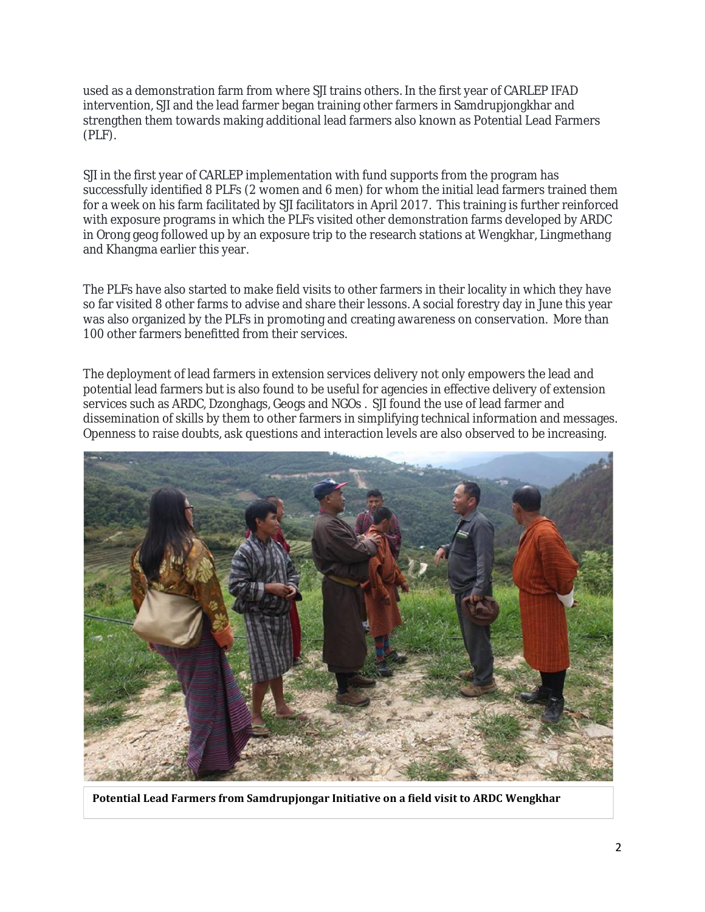used as a demonstration farm from where SJI trains others. In the first year of CARLEP IFAD intervention, SJI and the lead farmer began training other farmers in Samdrupjongkhar and strengthen them towards making additional lead farmers also known as Potential Lead Farmers (PLF).

SJI in the first year of CARLEP implementation with fund supports from the program has successfully identified 8 PLFs (2 women and 6 men) for whom the initial lead farmers trained them for a week on his farm facilitated by SJI facilitators in April 2017. This training is further reinforced with exposure programs in which the PLFs visited other demonstration farms developed by ARDC in Orong geog followed up by an exposure trip to the research stations at Wengkhar, Lingmethang and Khangma earlier this year.

The PLFs have also started to make field visits to other farmers in their locality in which they have so far visited 8 other farms to advise and share their lessons. A social forestry day in June this year was also organized by the PLFs in promoting and creating awareness on conservation. More than 100 other farmers benefitted from their services.

The deployment of lead farmers in extension services delivery not only empowers the lead and potential lead farmers but is also found to be useful for agencies in effective delivery of extension services such as ARDC, Dzonghags, Geogs and NGOs . SJI found the use of lead farmer and dissemination of skills by them to other farmers in simplifying technical information and messages. Openness to raise doubts, ask questions and interaction levels are also observed to be increasing.



**Potential Lead Farmers from Samdrupjongar Initiative on a field visit to ARDC Wengkhar**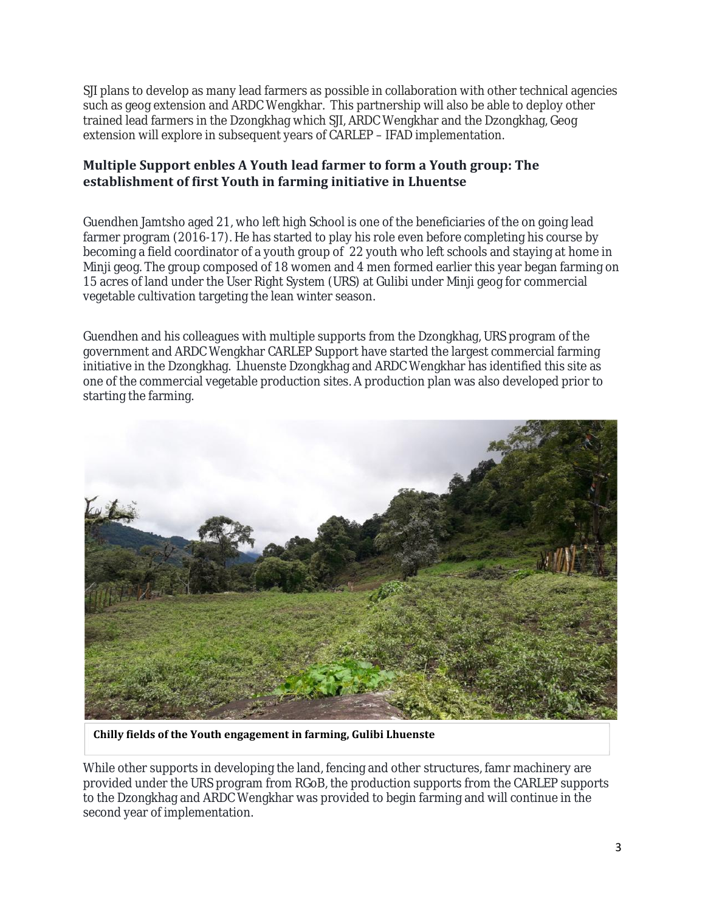SJI plans to develop as many lead farmers as possible in collaboration with other technical agencies such as geog extension and ARDC Wengkhar. This partnership will also be able to deploy other trained lead farmers in the Dzongkhag which SJI, ARDC Wengkhar and the Dzongkhag, Geog extension will explore in subsequent years of CARLEP – IFAD implementation.

## **Multiple Support enbles A Youth lead farmer to form a Youth group: The establishment of first Youth in farming initiative in Lhuentse**

Guendhen Jamtsho aged 21, who left high School is one of the beneficiaries of the on going lead farmer program (2016-17). He has started to play his role even before completing his course by becoming a field coordinator of a youth group of 22 youth who left schools and staying at home in Minji geog. The group composed of 18 women and 4 men formed earlier this year began farming on 15 acres of land under the User Right System (URS) at Gulibi under Minji geog for commercial vegetable cultivation targeting the lean winter season.

Guendhen and his colleagues with multiple supports from the Dzongkhag, URS program of the government and ARDC Wengkhar CARLEP Support have started the largest commercial farming initiative in the Dzongkhag. Lhuenste Dzongkhag and ARDC Wengkhar has identified this site as one of the commercial vegetable production sites. A production plan was also developed prior to starting the farming.



**Chilly fields of the Youth engagement in farming, Gulibi Lhuenste**

While other supports in developing the land, fencing and other structures, famr machinery are provided under the URS program from RGoB, the production supports from the CARLEP supports to the Dzongkhag and ARDC Wengkhar was provided to begin farming and will continue in the second year of implementation.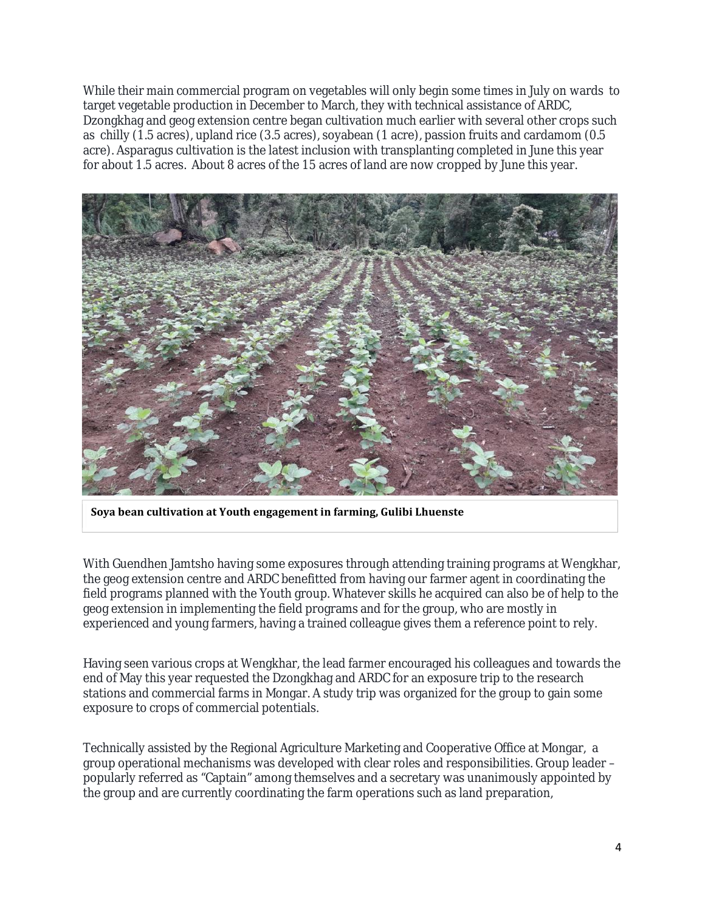While their main commercial program on vegetables will only begin some times in July on wards to target vegetable production in December to March, they with technical assistance of ARDC, Dzongkhag and geog extension centre began cultivation much earlier with several other crops such as chilly (1.5 acres), upland rice (3.5 acres), soyabean (1 acre), passion fruits and cardamom (0.5 acre). Asparagus cultivation is the latest inclusion with transplanting completed in June this year for about 1.5 acres. About 8 acres of the 15 acres of land are now cropped by June this year.



**Soya bean cultivation at Youth engagement in farming, Gulibi Lhuenste**

With Guendhen Jamtsho having some exposures through attending training programs at Wengkhar, the geog extension centre and ARDC benefitted from having our farmer agent in coordinating the field programs planned with the Youth group. Whatever skills he acquired can also be of help to the geog extension in implementing the field programs and for the group, who are mostly in experienced and young farmers, having a trained colleague gives them a reference point to rely.

Having seen various crops at Wengkhar, the lead farmer encouraged his colleagues and towards the end of May this year requested the Dzongkhag and ARDC for an exposure trip to the research stations and commercial farms in Mongar. A study trip was organized for the group to gain some exposure to crops of commercial potentials.

Technically assisted by the Regional Agriculture Marketing and Cooperative Office at Mongar, a group operational mechanisms was developed with clear roles and responsibilities. Group leader – popularly referred as "Captain" among themselves and a secretary was unanimously appointed by the group and are currently coordinating the farm operations such as land preparation,